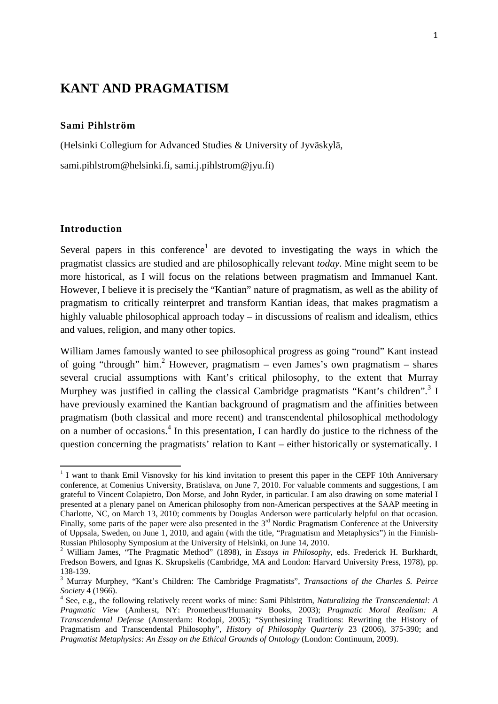# **KANT AND PRAGMATISM**

#### **Sami Pihlström**

(Helsinki Collegium for Advanced Studies & University of Jyväskylä, sami.pihlstrom@helsinki.fi, sami.j.pihlstrom@jyu.fi)

## **Introduction**

l

Several papers in this conference<sup>1</sup> are devoted to investigating the ways in which the pragmatist classics are studied and are philosophically relevant *today*. Mine might seem to be more historical, as I will focus on the relations between pragmatism and Immanuel Kant. However, I believe it is precisely the "Kantian" nature of pragmatism, as well as the ability of pragmatism to critically reinterpret and transform Kantian ideas, that makes pragmatism a highly valuable philosophical approach today – in discussions of realism and idealism, ethics and values, religion, and many other topics.

William James famously wanted to see philosophical progress as going "round" Kant instead of going "through" him.<sup>2</sup> However, pragmatism – even James's own pragmatism – shares several crucial assumptions with Kant's critical philosophy, to the extent that Murray Murphey was justified in calling the classical Cambridge pragmatists "Kant's children".<sup>3</sup> I have previously examined the Kantian background of pragmatism and the affinities between pragmatism (both classical and more recent) and transcendental philosophical methodology on a number of occasions.<sup>4</sup> In this presentation, I can hardly do justice to the richness of the question concerning the pragmatists' relation to Kant – either historically or systematically. I

<sup>&</sup>lt;sup>1</sup> I want to thank Emil Visnovsky for his kind invitation to present this paper in the CEPF 10th Anniversary conference, at Comenius University, Bratislava, on June 7, 2010. For valuable comments and suggestions, I am grateful to Vincent Colapietro, Don Morse, and John Ryder, in particular. I am also drawing on some material I presented at a plenary panel on American philosophy from non-American perspectives at the SAAP meeting in Charlotte, NC, on March 13, 2010; comments by Douglas Anderson were particularly helpful on that occasion. Finally, some parts of the paper were also presented in the  $3<sup>rd</sup>$  Nordic Pragmatism Conference at the University of Uppsala, Sweden, on June 1, 2010, and again (with the title, "Pragmatism and Metaphysics") in the Finnish-Russian Philosophy Symposium at the University of Helsinki, on June 14, 2010.

<sup>2</sup> William James, "The Pragmatic Method" (1898), in *Essays in Philosophy*, eds. Frederick H. Burkhardt, Fredson Bowers, and Ignas K. Skrupskelis (Cambridge, MA and London: Harvard University Press, 1978), pp. 138-139.

<sup>3</sup> Murray Murphey, "Kant's Children: The Cambridge Pragmatists", *Transactions of the Charles S. Peirce Society* 4 (1966).

<sup>4</sup> See, e.g., the following relatively recent works of mine: Sami Pihlström, *Naturalizing the Transcendental: A Pragmatic View* (Amherst, NY: Prometheus/Humanity Books, 2003); *Pragmatic Moral Realism: A Transcendental Defense* (Amsterdam: Rodopi, 2005); "Synthesizing Traditions: Rewriting the History of Pragmatism and Transcendental Philosophy", *History of Philosophy Quarterly* 23 (2006), 375-390; and *Pragmatist Metaphysics: An Essay on the Ethical Grounds of Ontology* (London: Continuum, 2009).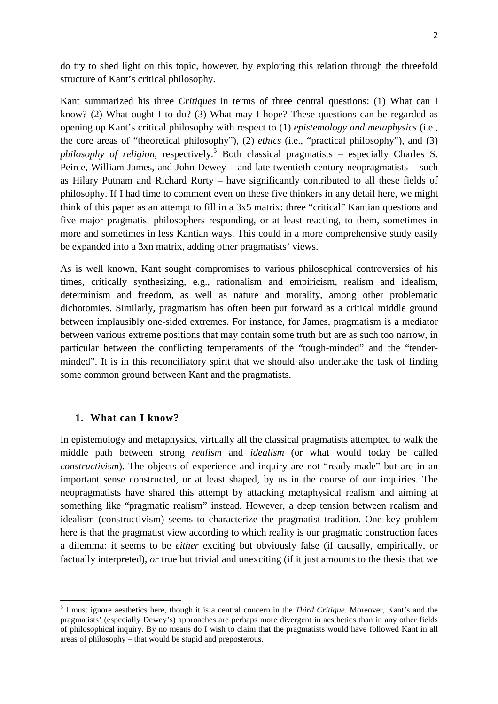do try to shed light on this topic, however, by exploring this relation through the threefold structure of Kant's critical philosophy.

Kant summarized his three *Critiques* in terms of three central questions: (1) What can I know? (2) What ought I to do? (3) What may I hope? These questions can be regarded as opening up Kant's critical philosophy with respect to (1) *epistemology and metaphysics* (i.e., the core areas of "theoretical philosophy"), (2) *ethics* (i.e., "practical philosophy"), and (3) philosophy of religion, respectively.<sup>5</sup> Both classical pragmatists – especially Charles S. Peirce, William James, and John Dewey – and late twentieth century neopragmatists – such as Hilary Putnam and Richard Rorty – have significantly contributed to all these fields of philosophy. If I had time to comment even on these five thinkers in any detail here, we might think of this paper as an attempt to fill in a 3x5 matrix: three "critical" Kantian questions and five major pragmatist philosophers responding, or at least reacting, to them, sometimes in more and sometimes in less Kantian ways. This could in a more comprehensive study easily be expanded into a 3xn matrix, adding other pragmatists' views.

As is well known, Kant sought compromises to various philosophical controversies of his times, critically synthesizing, e.g., rationalism and empiricism, realism and idealism, determinism and freedom, as well as nature and morality, among other problematic dichotomies. Similarly, pragmatism has often been put forward as a critical middle ground between implausibly one-sided extremes. For instance, for James, pragmatism is a mediator between various extreme positions that may contain some truth but are as such too narrow, in particular between the conflicting temperaments of the "tough-minded" and the "tenderminded". It is in this reconciliatory spirit that we should also undertake the task of finding some common ground between Kant and the pragmatists.

# **1. What can I know?**

 $\overline{a}$ 

In epistemology and metaphysics, virtually all the classical pragmatists attempted to walk the middle path between strong *realism* and *idealism* (or what would today be called *constructivism*). The objects of experience and inquiry are not "ready-made" but are in an important sense constructed, or at least shaped, by us in the course of our inquiries. The neopragmatists have shared this attempt by attacking metaphysical realism and aiming at something like "pragmatic realism" instead. However, a deep tension between realism and idealism (constructivism) seems to characterize the pragmatist tradition. One key problem here is that the pragmatist view according to which reality is our pragmatic construction faces a dilemma: it seems to be *either* exciting but obviously false (if causally, empirically, or factually interpreted), *or* true but trivial and unexciting (if it just amounts to the thesis that we

<sup>5</sup> I must ignore aesthetics here, though it is a central concern in the *Third Critique*. Moreover, Kant's and the pragmatists' (especially Dewey's) approaches are perhaps more divergent in aesthetics than in any other fields of philosophical inquiry. By no means do I wish to claim that the pragmatists would have followed Kant in all areas of philosophy – that would be stupid and preposterous.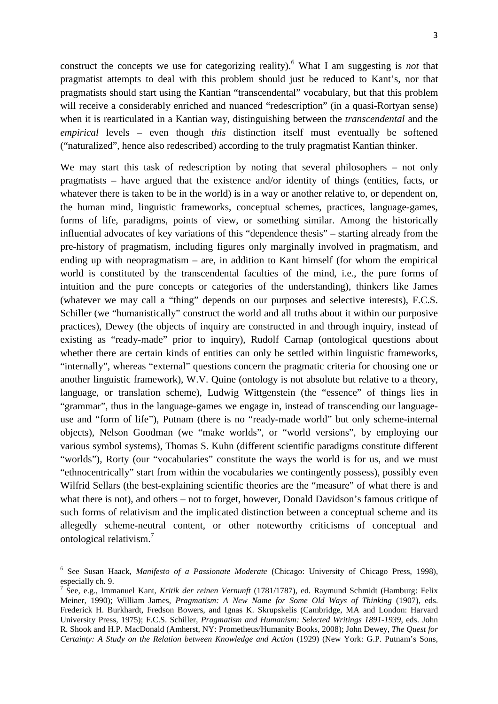construct the concepts we use for categorizing reality).<sup>6</sup> What I am suggesting is *not* that pragmatist attempts to deal with this problem should just be reduced to Kant's, nor that pragmatists should start using the Kantian "transcendental" vocabulary, but that this problem will receive a considerably enriched and nuanced "redescription" (in a quasi-Rortyan sense) when it is rearticulated in a Kantian way, distinguishing between the *transcendental* and the *empirical* levels – even though *this* distinction itself must eventually be softened ("naturalized", hence also redescribed) according to the truly pragmatist Kantian thinker.

We may start this task of redescription by noting that several philosophers – not only pragmatists – have argued that the existence and/or identity of things (entities, facts, or whatever there is taken to be in the world) is in a way or another relative to, or dependent on, the human mind, linguistic frameworks, conceptual schemes, practices, language-games, forms of life, paradigms, points of view, or something similar. Among the historically influential advocates of key variations of this "dependence thesis" – starting already from the pre-history of pragmatism, including figures only marginally involved in pragmatism, and ending up with neopragmatism – are, in addition to Kant himself (for whom the empirical world is constituted by the transcendental faculties of the mind, i.e., the pure forms of intuition and the pure concepts or categories of the understanding), thinkers like James (whatever we may call a "thing" depends on our purposes and selective interests), F.C.S. Schiller (we "humanistically" construct the world and all truths about it within our purposive practices), Dewey (the objects of inquiry are constructed in and through inquiry, instead of existing as "ready-made" prior to inquiry), Rudolf Carnap (ontological questions about whether there are certain kinds of entities can only be settled within linguistic frameworks, "internally", whereas "external" questions concern the pragmatic criteria for choosing one or another linguistic framework), W.V. Quine (ontology is not absolute but relative to a theory, language, or translation scheme), Ludwig Wittgenstein (the "essence" of things lies in "grammar", thus in the language-games we engage in, instead of transcending our languageuse and "form of life"), Putnam (there is no "ready-made world" but only scheme-internal objects), Nelson Goodman (we "make worlds", or "world versions", by employing our various symbol systems), Thomas S. Kuhn (different scientific paradigms constitute different "worlds"), Rorty (our "vocabularies" constitute the ways the world is for us, and we must "ethnocentrically" start from within the vocabularies we contingently possess), possibly even Wilfrid Sellars (the best-explaining scientific theories are the "measure" of what there is and what there is not), and others – not to forget, however, Donald Davidson's famous critique of such forms of relativism and the implicated distinction between a conceptual scheme and its allegedly scheme-neutral content, or other noteworthy criticisms of conceptual and ontological relativism.<sup>7</sup>

<sup>6</sup> See Susan Haack, *Manifesto of a Passionate Moderate* (Chicago: University of Chicago Press, 1998), especially ch. 9.

<sup>7</sup> See, e.g., Immanuel Kant, *Kritik der reinen Vernunft* (1781/1787), ed. Raymund Schmidt (Hamburg: Felix Meiner, 1990); William James, *Pragmatism: A New Name for Some Old Ways of Thinking* (1907), eds. Frederick H. Burkhardt, Fredson Bowers, and Ignas K. Skrupskelis (Cambridge, MA and London: Harvard University Press, 1975); F.C.S. Schiller, *Pragmatism and Humanism: Selected Writings 1891-1939*, eds. John R. Shook and H.P. MacDonald (Amherst, NY: Prometheus/Humanity Books, 2008); John Dewey, *The Quest for Certainty: A Study on the Relation between Knowledge and Action* (1929) (New York: G.P. Putnam's Sons,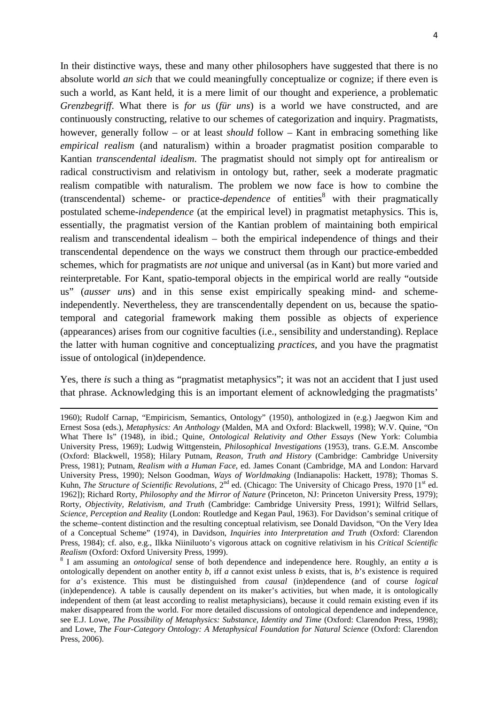In their distinctive ways, these and many other philosophers have suggested that there is no absolute world *an sich* that we could meaningfully conceptualize or cognize; if there even is such a world, as Kant held, it is a mere limit of our thought and experience, a problematic *Grenzbegriff*. What there is *for us* (*für uns*) is a world we have constructed, and are continuously constructing, relative to our schemes of categorization and inquiry. Pragmatists, however, generally follow – or at least *should* follow – Kant in embracing something like *empirical realism* (and naturalism) within a broader pragmatist position comparable to Kantian *transcendental idealism*. The pragmatist should not simply opt for antirealism or radical constructivism and relativism in ontology but, rather, seek a moderate pragmatic realism compatible with naturalism. The problem we now face is how to combine the (transcendental) scheme- or practice-*dependence* of entities<sup>8</sup> with their pragmatically postulated scheme-*independence* (at the empirical level) in pragmatist metaphysics. This is, essentially, the pragmatist version of the Kantian problem of maintaining both empirical realism and transcendental idealism – both the empirical independence of things and their transcendental dependence on the ways we construct them through our practice-embedded schemes, which for pragmatists are *not* unique and universal (as in Kant) but more varied and reinterpretable. For Kant, spatio-temporal objects in the empirical world are really "outside us" (*ausser uns*) and in this sense exist empirically speaking mind- and schemeindependently. Nevertheless, they are transcendentally dependent on us, because the spatiotemporal and categorial framework making them possible as objects of experience (appearances) arises from our cognitive faculties (i.e., sensibility and understanding). Replace the latter with human cognitive and conceptualizing *practices*, and you have the pragmatist issue of ontological (in)dependence.

Yes, there *is* such a thing as "pragmatist metaphysics"; it was not an accident that I just used that phrase. Acknowledging this is an important element of acknowledging the pragmatists'

l

<sup>1960);</sup> Rudolf Carnap, "Empiricism, Semantics, Ontology" (1950), anthologized in (e.g.) Jaegwon Kim and Ernest Sosa (eds.), *Metaphysics: An Anthology* (Malden, MA and Oxford: Blackwell, 1998); W.V. Quine, "On What There Is" (1948), in ibid.; Quine, *Ontological Relativity and Other Essays* (New York: Columbia University Press, 1969); Ludwig Wittgenstein, *Philosophical Investigations* (1953), trans. G.E.M. Anscombe (Oxford: Blackwell, 1958); Hilary Putnam, *Reason, Truth and History* (Cambridge: Cambridge University Press, 1981); Putnam, *Realism with a Human Face*, ed. James Conant (Cambridge, MA and London: Harvard University Press, 1990); Nelson Goodman, *Ways of Worldmaking* (Indianapolis: Hackett, 1978); Thomas S. Kuhn, *The Structure of Scientific Revolutions*, 2<sup>nd</sup> ed. (Chicago: The University of Chicago Press, 1970 [1<sup>st</sup> ed. 1962]); Richard Rorty, *Philosophy and the Mirror of Nature* (Princeton, NJ: Princeton University Press, 1979); Rorty, *Objectivity, Relativism, and Truth* (Cambridge: Cambridge University Press, 1991); Wilfrid Sellars, *Science, Perception and Reality* (London: Routledge and Kegan Paul, 1963). For Davidson's seminal critique of the scheme–content distinction and the resulting conceptual relativism, see Donald Davidson, "On the Very Idea of a Conceptual Scheme" (1974), in Davidson, *Inquiries into Interpretation and Truth* (Oxford: Clarendon Press, 1984); cf. also, e.g., Ilkka Niiniluoto's vigorous attack on cognitive relativism in his *Critical Scientific Realism* (Oxford: Oxford University Press, 1999).

<sup>8</sup> I am assuming an *ontological* sense of both dependence and independence here. Roughly, an entity *a* is ontologically dependent on another entity  $b$ , iff  $a$  cannot exist unless  $\overline{b}$  exists, that is,  $\overline{b}$ 's existence is required for *a*'s existence. This must be distinguished from *causal* (in)dependence (and of course *logical* (in)dependence). A table is causally dependent on its maker's activities, but when made, it is ontologically independent of them (at least according to realist metaphysicians), because it could remain existing even if its maker disappeared from the world. For more detailed discussions of ontological dependence and independence, see E.J. Lowe, *The Possibility of Metaphysics: Substance, Identity and Time* (Oxford: Clarendon Press, 1998); and Lowe, *The Four-Category Ontology: A Metaphysical Foundation for Natural Science* (Oxford: Clarendon Press, 2006).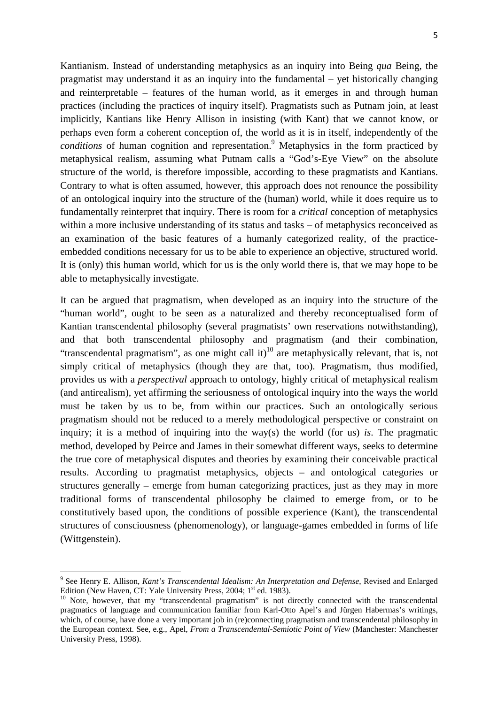Kantianism. Instead of understanding metaphysics as an inquiry into Being *qua* Being, the pragmatist may understand it as an inquiry into the fundamental – yet historically changing and reinterpretable – features of the human world, as it emerges in and through human practices (including the practices of inquiry itself). Pragmatists such as Putnam join, at least implicitly, Kantians like Henry Allison in insisting (with Kant) that we cannot know, or perhaps even form a coherent conception of, the world as it is in itself, independently of the *conditions* of human cognition and representation.<sup>9</sup> Metaphysics in the form practiced by metaphysical realism, assuming what Putnam calls a "God's-Eye View" on the absolute structure of the world, is therefore impossible, according to these pragmatists and Kantians. Contrary to what is often assumed, however, this approach does not renounce the possibility of an ontological inquiry into the structure of the (human) world, while it does require us to fundamentally reinterpret that inquiry. There is room for a *critical* conception of metaphysics within a more inclusive understanding of its status and tasks – of metaphysics reconceived as an examination of the basic features of a humanly categorized reality, of the practiceembedded conditions necessary for us to be able to experience an objective, structured world. It is (only) this human world, which for us is the only world there is, that we may hope to be able to metaphysically investigate.

It can be argued that pragmatism, when developed as an inquiry into the structure of the "human world", ought to be seen as a naturalized and thereby reconceptualised form of Kantian transcendental philosophy (several pragmatists' own reservations notwithstanding), and that both transcendental philosophy and pragmatism (and their combination, "transcendental pragmatism", as one might call it)<sup>10</sup> are metaphysically relevant, that is, not simply critical of metaphysics (though they are that, too). Pragmatism, thus modified, provides us with a *perspectival* approach to ontology, highly critical of metaphysical realism (and antirealism), yet affirming the seriousness of ontological inquiry into the ways the world must be taken by us to be, from within our practices. Such an ontologically serious pragmatism should not be reduced to a merely methodological perspective or constraint on inquiry; it is a method of inquiring into the way(s) the world (for us) *is*. The pragmatic method, developed by Peirce and James in their somewhat different ways, seeks to determine the true core of metaphysical disputes and theories by examining their conceivable practical results. According to pragmatist metaphysics, objects – and ontological categories or structures generally – emerge from human categorizing practices, just as they may in more traditional forms of transcendental philosophy be claimed to emerge from, or to be constitutively based upon, the conditions of possible experience (Kant), the transcendental structures of consciousness (phenomenology), or language-games embedded in forms of life (Wittgenstein).

<sup>9</sup> See Henry E. Allison, *Kant's Transcendental Idealism: An Interpretation and Defense*, Revised and Enlarged Edition (New Haven, CT: Yale University Press, 2004;  $1<sup>st</sup>$  ed. 1983).

<sup>&</sup>lt;sup>10</sup> Note, however, that my "transcendental pragmatism" is not directly connected with the transcendental pragmatics of language and communication familiar from Karl-Otto Apel's and Jürgen Habermas's writings, which, of course, have done a very important job in (re)connecting pragmatism and transcendental philosophy in the European context. See, e.g., Apel, *From a Transcendental-Semiotic Point of View* (Manchester: Manchester University Press, 1998).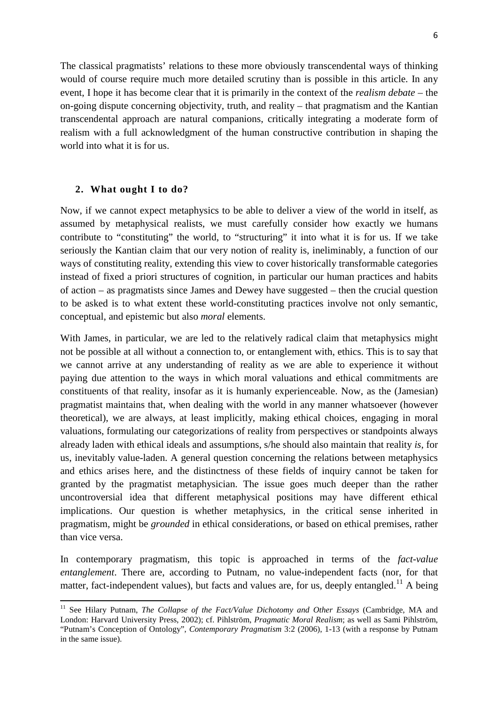The classical pragmatists' relations to these more obviously transcendental ways of thinking would of course require much more detailed scrutiny than is possible in this article. In any event, I hope it has become clear that it is primarily in the context of the *realism debate* – the on-going dispute concerning objectivity, truth, and reality – that pragmatism and the Kantian transcendental approach are natural companions, critically integrating a moderate form of realism with a full acknowledgment of the human constructive contribution in shaping the world into what it is for us.

#### **2. What ought I to do?**

 $\overline{a}$ 

Now, if we cannot expect metaphysics to be able to deliver a view of the world in itself, as assumed by metaphysical realists, we must carefully consider how exactly we humans contribute to "constituting" the world, to "structuring" it into what it is for us. If we take seriously the Kantian claim that our very notion of reality is, ineliminably, a function of our ways of constituting reality, extending this view to cover historically transformable categories instead of fixed a priori structures of cognition, in particular our human practices and habits of action – as pragmatists since James and Dewey have suggested – then the crucial question to be asked is to what extent these world-constituting practices involve not only semantic, conceptual, and epistemic but also *moral* elements.

With James, in particular, we are led to the relatively radical claim that metaphysics might not be possible at all without a connection to, or entanglement with, ethics. This is to say that we cannot arrive at any understanding of reality as we are able to experience it without paying due attention to the ways in which moral valuations and ethical commitments are constituents of that reality, insofar as it is humanly experienceable. Now, as the (Jamesian) pragmatist maintains that, when dealing with the world in any manner whatsoever (however theoretical), we are always, at least implicitly, making ethical choices, engaging in moral valuations, formulating our categorizations of reality from perspectives or standpoints always already laden with ethical ideals and assumptions, s/he should also maintain that reality *is*, for us, inevitably value-laden. A general question concerning the relations between metaphysics and ethics arises here, and the distinctness of these fields of inquiry cannot be taken for granted by the pragmatist metaphysician. The issue goes much deeper than the rather uncontroversial idea that different metaphysical positions may have different ethical implications. Our question is whether metaphysics, in the critical sense inherited in pragmatism, might be *grounded* in ethical considerations, or based on ethical premises, rather than vice versa.

In contemporary pragmatism, this topic is approached in terms of the *fact-value entanglement*. There are, according to Putnam, no value-independent facts (nor, for that matter, fact-independent values), but facts and values are, for us, deeply entangled.<sup>11</sup> A being

<sup>&</sup>lt;sup>11</sup> See Hilary Putnam, *The Collapse of the Fact/Value Dichotomy and Other Essays* (Cambridge, MA and London: Harvard University Press, 2002); cf. Pihlström, *Pragmatic Moral Realism*; as well as Sami Pihlström, "Putnam's Conception of Ontology", *Contemporary Pragmatism* 3:2 (2006), 1-13 (with a response by Putnam in the same issue).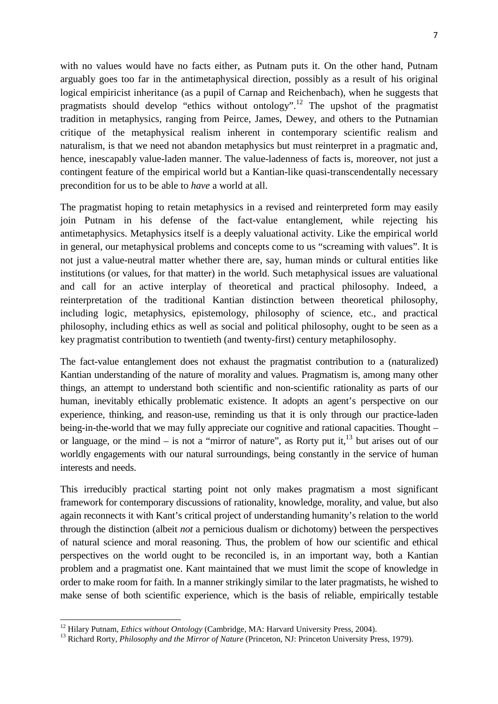with no values would have no facts either, as Putnam puts it. On the other hand, Putnam arguably goes too far in the antimetaphysical direction, possibly as a result of his original logical empiricist inheritance (as a pupil of Carnap and Reichenbach), when he suggests that pragmatists should develop "ethics without ontology".<sup>12</sup> The upshot of the pragmatist tradition in metaphysics, ranging from Peirce, James, Dewey, and others to the Putnamian critique of the metaphysical realism inherent in contemporary scientific realism and naturalism, is that we need not abandon metaphysics but must reinterpret in a pragmatic and, hence, inescapably value-laden manner. The value-ladenness of facts is, moreover, not just a contingent feature of the empirical world but a Kantian-like quasi-transcendentally necessary precondition for us to be able to *have* a world at all.

The pragmatist hoping to retain metaphysics in a revised and reinterpreted form may easily join Putnam in his defense of the fact-value entanglement, while rejecting his antimetaphysics. Metaphysics itself is a deeply valuational activity. Like the empirical world in general, our metaphysical problems and concepts come to us "screaming with values". It is not just a value-neutral matter whether there are, say, human minds or cultural entities like institutions (or values, for that matter) in the world. Such metaphysical issues are valuational and call for an active interplay of theoretical and practical philosophy. Indeed, a reinterpretation of the traditional Kantian distinction between theoretical philosophy, including logic, metaphysics, epistemology, philosophy of science, etc., and practical philosophy, including ethics as well as social and political philosophy, ought to be seen as a key pragmatist contribution to twentieth (and twenty-first) century metaphilosophy.

The fact-value entanglement does not exhaust the pragmatist contribution to a (naturalized) Kantian understanding of the nature of morality and values. Pragmatism is, among many other things, an attempt to understand both scientific and non-scientific rationality as parts of our human, inevitably ethically problematic existence. It adopts an agent's perspective on our experience, thinking, and reason-use, reminding us that it is only through our practice-laden being-in-the-world that we may fully appreciate our cognitive and rational capacities. Thought – or language, or the mind – is not a "mirror of nature", as Rorty put it, $^{13}$  but arises out of our worldly engagements with our natural surroundings, being constantly in the service of human interests and needs.

This irreducibly practical starting point not only makes pragmatism a most significant framework for contemporary discussions of rationality, knowledge, morality, and value, but also again reconnects it with Kant's critical project of understanding humanity's relation to the world through the distinction (albeit *not* a pernicious dualism or dichotomy) between the perspectives of natural science and moral reasoning. Thus, the problem of how our scientific and ethical perspectives on the world ought to be reconciled is, in an important way, both a Kantian problem and a pragmatist one. Kant maintained that we must limit the scope of knowledge in order to make room for faith. In a manner strikingly similar to the later pragmatists, he wished to make sense of both scientific experience, which is the basis of reliable, empirically testable

<sup>&</sup>lt;sup>12</sup> Hilary Putnam, *Ethics without Ontology* (Cambridge, MA: Harvard University Press, 2004).

<sup>&</sup>lt;sup>13</sup> Richard Rorty, *Philosophy and the Mirror of Nature* (Princeton, NJ: Princeton University Press, 1979).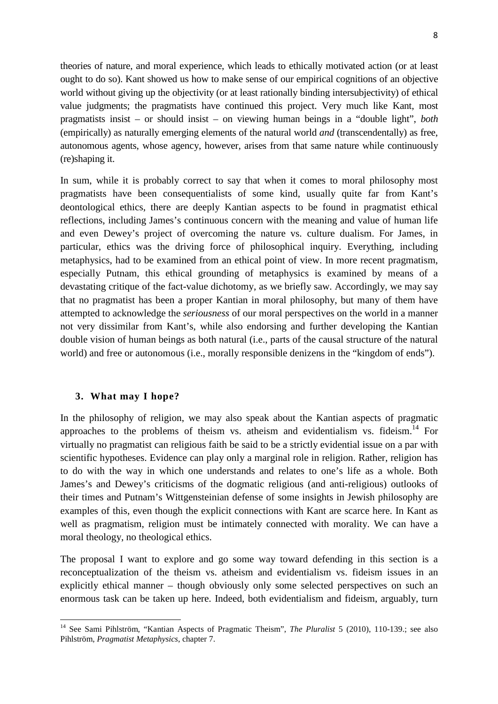theories of nature, and moral experience, which leads to ethically motivated action (or at least ought to do so). Kant showed us how to make sense of our empirical cognitions of an objective world without giving up the objectivity (or at least rationally binding intersubjectivity) of ethical value judgments; the pragmatists have continued this project. Very much like Kant, most pragmatists insist – or should insist – on viewing human beings in a "double light", *both* (empirically) as naturally emerging elements of the natural world *and* (transcendentally) as free, autonomous agents, whose agency, however, arises from that same nature while continuously (re)shaping it.

In sum, while it is probably correct to say that when it comes to moral philosophy most pragmatists have been consequentialists of some kind, usually quite far from Kant's deontological ethics, there are deeply Kantian aspects to be found in pragmatist ethical reflections, including James's continuous concern with the meaning and value of human life and even Dewey's project of overcoming the nature vs. culture dualism. For James, in particular, ethics was the driving force of philosophical inquiry. Everything, including metaphysics, had to be examined from an ethical point of view. In more recent pragmatism, especially Putnam, this ethical grounding of metaphysics is examined by means of a devastating critique of the fact-value dichotomy, as we briefly saw. Accordingly, we may say that no pragmatist has been a proper Kantian in moral philosophy, but many of them have attempted to acknowledge the *seriousness* of our moral perspectives on the world in a manner not very dissimilar from Kant's, while also endorsing and further developing the Kantian double vision of human beings as both natural (i.e., parts of the causal structure of the natural world) and free or autonomous (i.e., morally responsible denizens in the "kingdom of ends").

#### **3. What may I hope?**

 $\overline{a}$ 

In the philosophy of religion, we may also speak about the Kantian aspects of pragmatic approaches to the problems of theism vs. atheism and evidentialism vs. fideism.<sup>14</sup> For virtually no pragmatist can religious faith be said to be a strictly evidential issue on a par with scientific hypotheses. Evidence can play only a marginal role in religion. Rather, religion has to do with the way in which one understands and relates to one's life as a whole. Both James's and Dewey's criticisms of the dogmatic religious (and anti-religious) outlooks of their times and Putnam's Wittgensteinian defense of some insights in Jewish philosophy are examples of this, even though the explicit connections with Kant are scarce here. In Kant as well as pragmatism, religion must be intimately connected with morality. We can have a moral theology, no theological ethics.

The proposal I want to explore and go some way toward defending in this section is a reconceptualization of the theism vs. atheism and evidentialism vs. fideism issues in an explicitly ethical manner – though obviously only some selected perspectives on such an enormous task can be taken up here. Indeed, both evidentialism and fideism, arguably, turn

<sup>14</sup> See Sami Pihlström, "Kantian Aspects of Pragmatic Theism", *The Pluralist* 5 (2010), 110-139.; see also Pihlström, *Pragmatist Metaphysics*, chapter 7.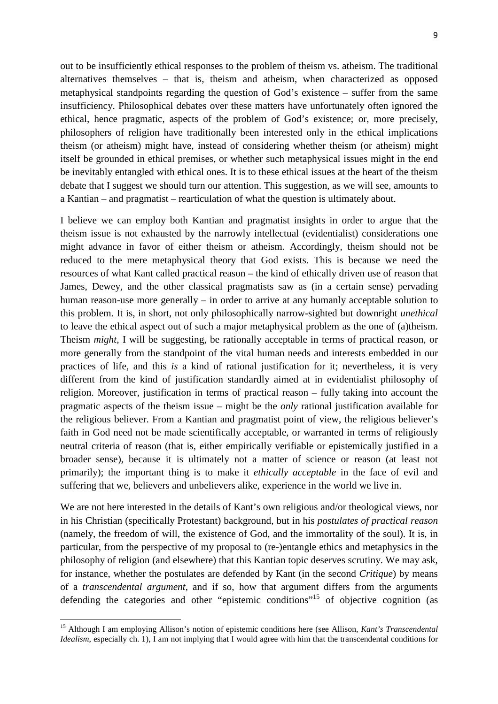out to be insufficiently ethical responses to the problem of theism vs. atheism. The traditional alternatives themselves – that is, theism and atheism, when characterized as opposed metaphysical standpoints regarding the question of God's existence – suffer from the same insufficiency. Philosophical debates over these matters have unfortunately often ignored the ethical, hence pragmatic, aspects of the problem of God's existence; or, more precisely, philosophers of religion have traditionally been interested only in the ethical implications theism (or atheism) might have, instead of considering whether theism (or atheism) might itself be grounded in ethical premises, or whether such metaphysical issues might in the end be inevitably entangled with ethical ones. It is to these ethical issues at the heart of the theism debate that I suggest we should turn our attention. This suggestion, as we will see, amounts to a Kantian – and pragmatist – rearticulation of what the question is ultimately about.

I believe we can employ both Kantian and pragmatist insights in order to argue that the theism issue is not exhausted by the narrowly intellectual (evidentialist) considerations one might advance in favor of either theism or atheism. Accordingly, theism should not be reduced to the mere metaphysical theory that God exists. This is because we need the resources of what Kant called practical reason – the kind of ethically driven use of reason that James, Dewey, and the other classical pragmatists saw as (in a certain sense) pervading human reason-use more generally – in order to arrive at any humanly acceptable solution to this problem. It is, in short, not only philosophically narrow-sighted but downright *unethical*  to leave the ethical aspect out of such a major metaphysical problem as the one of (a)theism. Theism *might*, I will be suggesting, be rationally acceptable in terms of practical reason, or more generally from the standpoint of the vital human needs and interests embedded in our practices of life, and this *is* a kind of rational justification for it; nevertheless, it is very different from the kind of justification standardly aimed at in evidentialist philosophy of religion. Moreover, justification in terms of practical reason – fully taking into account the pragmatic aspects of the theism issue – might be the *only* rational justification available for the religious believer. From a Kantian and pragmatist point of view, the religious believer's faith in God need not be made scientifically acceptable, or warranted in terms of religiously neutral criteria of reason (that is, either empirically verifiable or epistemically justified in a broader sense), because it is ultimately not a matter of science or reason (at least not primarily); the important thing is to make it *ethically acceptable* in the face of evil and suffering that we, believers and unbelievers alike, experience in the world we live in.

We are not here interested in the details of Kant's own religious and/or theological views, nor in his Christian (specifically Protestant) background, but in his *postulates of practical reason*  (namely, the freedom of will, the existence of God, and the immortality of the soul). It is, in particular, from the perspective of my proposal to (re-)entangle ethics and metaphysics in the philosophy of religion (and elsewhere) that this Kantian topic deserves scrutiny. We may ask, for instance, whether the postulates are defended by Kant (in the second *Critique*) by means of a *transcendental argument*, and if so, how that argument differs from the arguments defending the categories and other "epistemic conditions"<sup>15</sup> of objective cognition (as

<sup>15</sup> Although I am employing Allison's notion of epistemic conditions here (see Allison, *Kant's Transcendental Idealism*, especially ch. 1), I am not implying that I would agree with him that the transcendental conditions for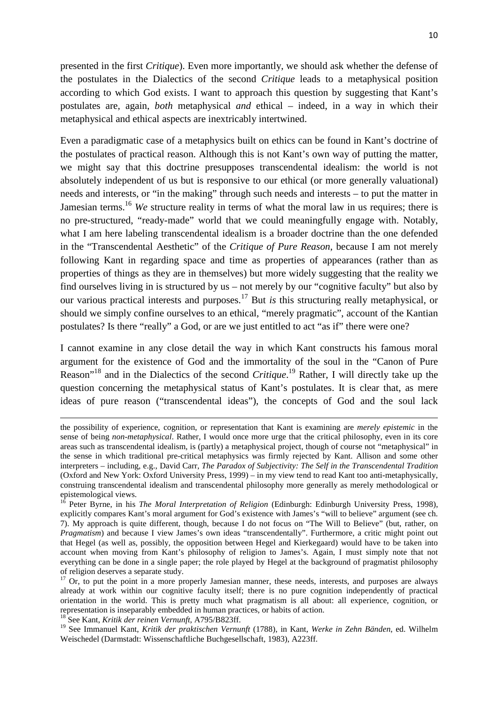presented in the first *Critique*). Even more importantly, we should ask whether the defense of the postulates in the Dialectics of the second *Critique* leads to a metaphysical position according to which God exists. I want to approach this question by suggesting that Kant's postulates are, again, *both* metaphysical *and* ethical – indeed, in a way in which their metaphysical and ethical aspects are inextricably intertwined.

Even a paradigmatic case of a metaphysics built on ethics can be found in Kant's doctrine of the postulates of practical reason. Although this is not Kant's own way of putting the matter, we might say that this doctrine presupposes transcendental idealism: the world is not absolutely independent of us but is responsive to our ethical (or more generally valuational) needs and interests, or "in the making" through such needs and interests – to put the matter in Jamesian terms.<sup>16</sup> *We* structure reality in terms of what the moral law in us requires; there is no pre-structured, "ready-made" world that we could meaningfully engage with. Notably, what I am here labeling transcendental idealism is a broader doctrine than the one defended in the "Transcendental Aesthetic" of the *Critique of Pure Reason*, because I am not merely following Kant in regarding space and time as properties of appearances (rather than as properties of things as they are in themselves) but more widely suggesting that the reality we find ourselves living in is structured by us – not merely by our "cognitive faculty" but also by our various practical interests and purposes.<sup>17</sup> But *is* this structuring really metaphysical, or should we simply confine ourselves to an ethical, "merely pragmatic", account of the Kantian postulates? Is there "really" a God, or are we just entitled to act "as if" there were one?

I cannot examine in any close detail the way in which Kant constructs his famous moral argument for the existence of God and the immortality of the soul in the "Canon of Pure Reason<sup>"18</sup> and in the Dialectics of the second *Critique*.<sup>19</sup> Rather, I will directly take up the question concerning the metaphysical status of Kant's postulates. It is clear that, as mere ideas of pure reason ("transcendental ideas"), the concepts of God and the soul lack

<sup>18</sup> See Kant, *Kritik der reinen Vernunft*, A795/B823ff.

the possibility of experience, cognition, or representation that Kant is examining are *merely epistemic* in the sense of being *non-metaphysical*. Rather, I would once more urge that the critical philosophy, even in its core areas such as transcendental idealism, is (partly) a metaphysical project, though of course not "metaphysical" in the sense in which traditional pre-critical metaphysics was firmly rejected by Kant. Allison and some other interpreters – including, e.g., David Carr, *The Paradox of Subjectivity: The Self in the Transcendental Tradition* (Oxford and New York: Oxford University Press, 1999) – in my view tend to read Kant too anti-metaphysically, construing transcendental idealism and transcendental philosophy more generally as merely methodological or epistemological views.

<sup>16</sup> Peter Byrne, in his *The Moral Interpretation of Religion* (Edinburgh: Edinburgh University Press, 1998), explicitly compares Kant's moral argument for God's existence with James's "will to believe" argument (see ch. 7). My approach is quite different, though, because I do not focus on "The Will to Believe" (but, rather, on *Pragmatism*) and because I view James's own ideas "transcendentally". Furthermore, a critic might point out that Hegel (as well as, possibly, the opposition between Hegel and Kierkegaard) would have to be taken into account when moving from Kant's philosophy of religion to James's. Again, I must simply note that not everything can be done in a single paper; the role played by Hegel at the background of pragmatist philosophy of religion deserves a separate study.

 $17$  Or, to put the point in a more properly Jamesian manner, these needs, interests, and purposes are always already at work within our cognitive faculty itself; there is no pure cognition independently of practical orientation in the world. This is pretty much what pragmatism is all about: all experience, cognition, or representation is inseparably embedded in human practices, or habits of action.

<sup>19</sup> See Immanuel Kant, *Kritik der praktischen Vernunft* (1788), in Kant, *Werke in Zehn Bänden*, ed. Wilhelm Weischedel (Darmstadt: Wissenschaftliche Buchgesellschaft, 1983), A223ff.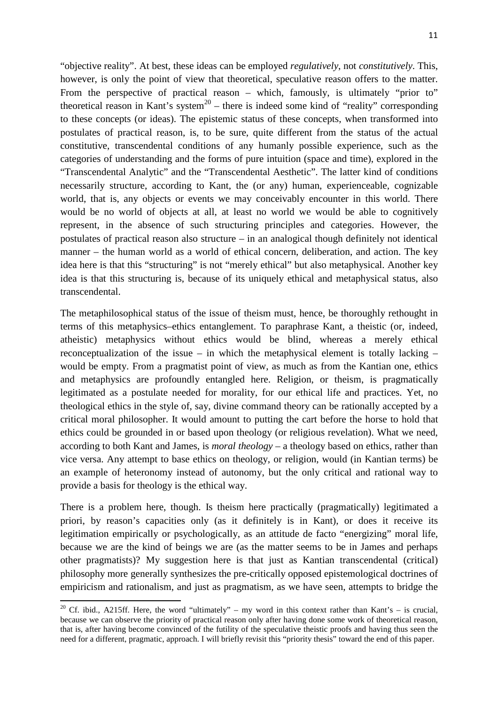"objective reality". At best, these ideas can be employed *regulatively*, not *constitutively*. This, however, is only the point of view that theoretical, speculative reason offers to the matter. From the perspective of practical reason – which, famously, is ultimately "prior to" theoretical reason in Kant's system<sup>20</sup> – there is indeed some kind of "reality" corresponding to these concepts (or ideas). The epistemic status of these concepts, when transformed into postulates of practical reason, is, to be sure, quite different from the status of the actual constitutive, transcendental conditions of any humanly possible experience, such as the categories of understanding and the forms of pure intuition (space and time), explored in the "Transcendental Analytic" and the "Transcendental Aesthetic". The latter kind of conditions necessarily structure, according to Kant, the (or any) human, experienceable, cognizable world, that is, any objects or events we may conceivably encounter in this world. There would be no world of objects at all, at least no world we would be able to cognitively represent, in the absence of such structuring principles and categories. However, the postulates of practical reason also structure – in an analogical though definitely not identical manner – the human world as a world of ethical concern, deliberation, and action. The key idea here is that this "structuring" is not "merely ethical" but also metaphysical. Another key idea is that this structuring is, because of its uniquely ethical and metaphysical status, also transcendental.

The metaphilosophical status of the issue of theism must, hence, be thoroughly rethought in terms of this metaphysics–ethics entanglement. To paraphrase Kant, a theistic (or, indeed, atheistic) metaphysics without ethics would be blind, whereas a merely ethical reconceptualization of the issue – in which the metaphysical element is totally lacking – would be empty. From a pragmatist point of view, as much as from the Kantian one, ethics and metaphysics are profoundly entangled here. Religion, or theism, is pragmatically legitimated as a postulate needed for morality, for our ethical life and practices. Yet, no theological ethics in the style of, say, divine command theory can be rationally accepted by a critical moral philosopher. It would amount to putting the cart before the horse to hold that ethics could be grounded in or based upon theology (or religious revelation). What we need, according to both Kant and James, is *moral theology* – a theology based on ethics, rather than vice versa. Any attempt to base ethics on theology, or religion, would (in Kantian terms) be an example of heteronomy instead of autonomy, but the only critical and rational way to provide a basis for theology is the ethical way.

There is a problem here, though. Is theism here practically (pragmatically) legitimated a priori, by reason's capacities only (as it definitely is in Kant), or does it receive its legitimation empirically or psychologically, as an attitude de facto "energizing" moral life, because we are the kind of beings we are (as the matter seems to be in James and perhaps other pragmatists)? My suggestion here is that just as Kantian transcendental (critical) philosophy more generally synthesizes the pre-critically opposed epistemological doctrines of empiricism and rationalism, and just as pragmatism, as we have seen, attempts to bridge the

<sup>&</sup>lt;sup>20</sup> Cf. ibid., A215ff. Here, the word "ultimately" – my word in this context rather than Kant's – is crucial, because we can observe the priority of practical reason only after having done some work of theoretical reason, that is, after having become convinced of the futility of the speculative theistic proofs and having thus seen the need for a different, pragmatic, approach. I will briefly revisit this "priority thesis" toward the end of this paper.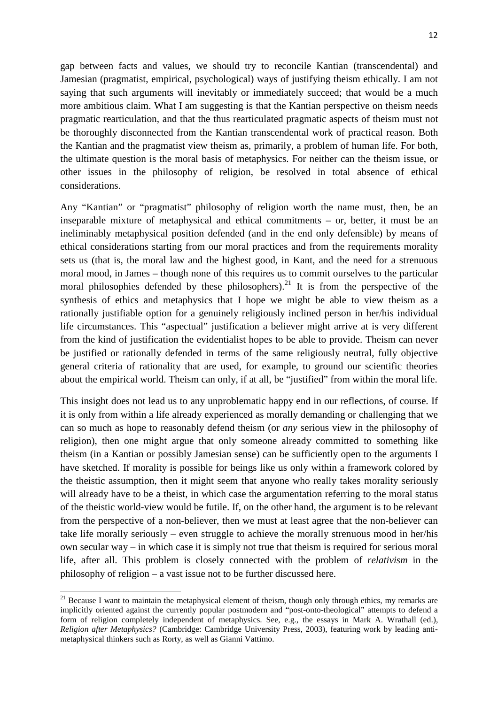gap between facts and values, we should try to reconcile Kantian (transcendental) and Jamesian (pragmatist, empirical, psychological) ways of justifying theism ethically. I am not saying that such arguments will inevitably or immediately succeed; that would be a much more ambitious claim. What I am suggesting is that the Kantian perspective on theism needs pragmatic rearticulation, and that the thus rearticulated pragmatic aspects of theism must not be thoroughly disconnected from the Kantian transcendental work of practical reason. Both the Kantian and the pragmatist view theism as, primarily, a problem of human life. For both, the ultimate question is the moral basis of metaphysics. For neither can the theism issue, or other issues in the philosophy of religion, be resolved in total absence of ethical considerations.

Any "Kantian" or "pragmatist" philosophy of religion worth the name must, then, be an inseparable mixture of metaphysical and ethical commitments – or, better, it must be an ineliminably metaphysical position defended (and in the end only defensible) by means of ethical considerations starting from our moral practices and from the requirements morality sets us (that is, the moral law and the highest good, in Kant, and the need for a strenuous moral mood, in James – though none of this requires us to commit ourselves to the particular moral philosophies defended by these philosophers).<sup>21</sup> It is from the perspective of the synthesis of ethics and metaphysics that I hope we might be able to view theism as a rationally justifiable option for a genuinely religiously inclined person in her/his individual life circumstances. This "aspectual" justification a believer might arrive at is very different from the kind of justification the evidentialist hopes to be able to provide. Theism can never be justified or rationally defended in terms of the same religiously neutral, fully objective general criteria of rationality that are used, for example, to ground our scientific theories about the empirical world. Theism can only, if at all, be "justified" from within the moral life.

This insight does not lead us to any unproblematic happy end in our reflections, of course. If it is only from within a life already experienced as morally demanding or challenging that we can so much as hope to reasonably defend theism (or *any* serious view in the philosophy of religion), then one might argue that only someone already committed to something like theism (in a Kantian or possibly Jamesian sense) can be sufficiently open to the arguments I have sketched. If morality is possible for beings like us only within a framework colored by the theistic assumption, then it might seem that anyone who really takes morality seriously will already have to be a theist, in which case the argumentation referring to the moral status of the theistic world-view would be futile. If, on the other hand, the argument is to be relevant from the perspective of a non-believer, then we must at least agree that the non-believer can take life morally seriously – even struggle to achieve the morally strenuous mood in her/his own secular way – in which case it is simply not true that theism is required for serious moral life, after all. This problem is closely connected with the problem of *relativism* in the philosophy of religion – a vast issue not to be further discussed here.

l

<sup>&</sup>lt;sup>21</sup> Because I want to maintain the metaphysical element of theism, though only through ethics, my remarks are implicitly oriented against the currently popular postmodern and "post-onto-theological" attempts to defend a form of religion completely independent of metaphysics. See, e.g., the essays in Mark A. Wrathall (ed.), *Religion after Metaphysics?* (Cambridge: Cambridge University Press, 2003), featuring work by leading antimetaphysical thinkers such as Rorty, as well as Gianni Vattimo.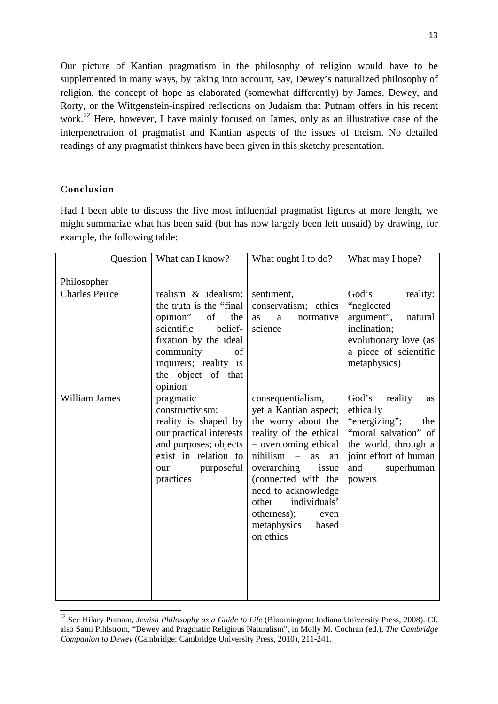Our picture of Kantian pragmatism in the philosophy of religion would have to be supplemented in many ways, by taking into account, say, Dewey's naturalized philosophy of religion, the concept of hope as elaborated (somewhat differently) by James, Dewey, and Rorty, or the Wittgenstein-inspired reflections on Judaism that Putnam offers in his recent work.<sup>22</sup> Here, however, I have mainly focused on James, only as an illustrative case of the interpenetration of pragmatist and Kantian aspects of the issues of theism. No detailed readings of any pragmatist thinkers have been given in this sketchy presentation.

### **Conclusion**

l

Had I been able to discuss the five most influential pragmatist figures at more length, we might summarize what has been said (but has now largely been left unsaid) by drawing, for example, the following table:

| Question              | What can I know?                                                                                                                                                                                        | What ought I to do?                                                                                                                                                                                                                                                                                        | What may I hope?                                                                                                                                                    |
|-----------------------|---------------------------------------------------------------------------------------------------------------------------------------------------------------------------------------------------------|------------------------------------------------------------------------------------------------------------------------------------------------------------------------------------------------------------------------------------------------------------------------------------------------------------|---------------------------------------------------------------------------------------------------------------------------------------------------------------------|
| Philosopher           |                                                                                                                                                                                                         |                                                                                                                                                                                                                                                                                                            |                                                                                                                                                                     |
| <b>Charles Peirce</b> | realism & idealism:<br>the truth is the "final"<br>opinion"<br>of<br>the<br>scientific<br>belief-<br>fixation by the ideal<br>community<br>οf<br>inquirers; reality is<br>the object of that<br>opinion | sentiment,<br>conservatism; ethics<br>as<br>normative<br>a<br>science                                                                                                                                                                                                                                      | God's<br>reality:<br>"neglected"<br>argument",<br>natural<br>inclination;<br>evolutionary love (as<br>a piece of scientific<br>metaphysics)                         |
| William James         | pragmatic<br>constructivism:<br>reality is shaped by<br>our practical interests<br>and purposes; objects<br>exist in relation to<br>purposeful<br>our<br>practices                                      | consequentialism,<br>yet a Kantian aspect;<br>the worry about the<br>reality of the ethical<br>- overcoming ethical<br>$nihilism -$<br>as<br>an<br>overarching<br>issue<br>(connected with the<br>need to acknowledge<br>individuals'<br>other<br>otherness);<br>even<br>metaphysics<br>based<br>on ethics | God's<br>reality<br>as<br>ethically<br>"energizing";<br>the<br>"moral salvation" of<br>the world, through a<br>joint effort of human<br>and<br>superhuman<br>powers |

<sup>&</sup>lt;sup>22</sup> See Hilary Putnam, *Jewish Philosophy as a Guide to Life* (Bloomington: Indiana University Press, 2008). Cf. also Sami Pihlström, "Dewey and Pragmatic Religious Naturalism", in Molly M. Cochran (ed.), *The Cambridge Companion to Dewey* (Cambridge: Cambridge University Press, 2010), 211-241.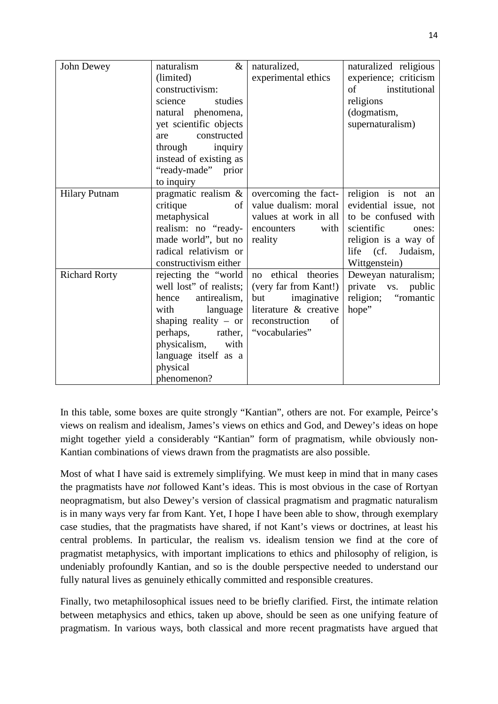| John Dewey           | $\&$<br>naturalism      | naturalized,          | naturalized religious     |
|----------------------|-------------------------|-----------------------|---------------------------|
|                      | (limited)               | experimental ethics   | experience; criticism     |
|                      | constructivism:         |                       | $\sigma$<br>institutional |
|                      | studies<br>science      |                       | religions                 |
|                      | natural phenomena,      |                       | (dogmatism,               |
|                      | yet scientific objects  |                       | supernaturalism)          |
|                      | constructed<br>are      |                       |                           |
|                      | through<br>inquiry      |                       |                           |
|                      | instead of existing as  |                       |                           |
|                      | "ready-made" prior      |                       |                           |
|                      | to inquiry              |                       |                           |
| <b>Hilary Putnam</b> | pragmatic realism $\&$  | overcoming the fact-  | religion is not an        |
|                      | critique<br>of          | value dualism: moral  | evidential issue, not     |
|                      | metaphysical            | values at work in all | to be confused with       |
|                      | realism: no "ready-     | encounters<br>with    | scientific<br>ones:       |
|                      | made world", but no     | reality               | religion is a way of      |
|                      | radical relativism or   |                       | life (cf.<br>Judaism,     |
|                      | constructivism either   |                       | Wittgenstein)             |
| <b>Richard Rorty</b> | rejecting the "world"   | no ethical theories   | Deweyan naturalism;       |
|                      | well lost" of realists; | (very far from Kant!) | private vs. public        |
|                      | antirealism,<br>hence   | imaginative<br>but    | religion; "romantic       |
|                      | language<br>with        | literature & creative | hope"                     |
|                      | shaping reality $-$ or  | reconstruction<br>of  |                           |
|                      | perhaps,<br>rather,     | "vocabularies"        |                           |
|                      | physicalism,<br>with    |                       |                           |
|                      | language itself as a    |                       |                           |
|                      | physical                |                       |                           |
|                      | phenomenon?             |                       |                           |

In this table, some boxes are quite strongly "Kantian", others are not. For example, Peirce's views on realism and idealism, James's views on ethics and God, and Dewey's ideas on hope might together yield a considerably "Kantian" form of pragmatism, while obviously non-Kantian combinations of views drawn from the pragmatists are also possible.

Most of what I have said is extremely simplifying. We must keep in mind that in many cases the pragmatists have *not* followed Kant's ideas. This is most obvious in the case of Rortyan neopragmatism, but also Dewey's version of classical pragmatism and pragmatic naturalism is in many ways very far from Kant. Yet, I hope I have been able to show, through exemplary case studies, that the pragmatists have shared, if not Kant's views or doctrines, at least his central problems. In particular, the realism vs. idealism tension we find at the core of pragmatist metaphysics, with important implications to ethics and philosophy of religion, is undeniably profoundly Kantian, and so is the double perspective needed to understand our fully natural lives as genuinely ethically committed and responsible creatures.

Finally, two metaphilosophical issues need to be briefly clarified. First, the intimate relation between metaphysics and ethics, taken up above, should be seen as one unifying feature of pragmatism. In various ways, both classical and more recent pragmatists have argued that